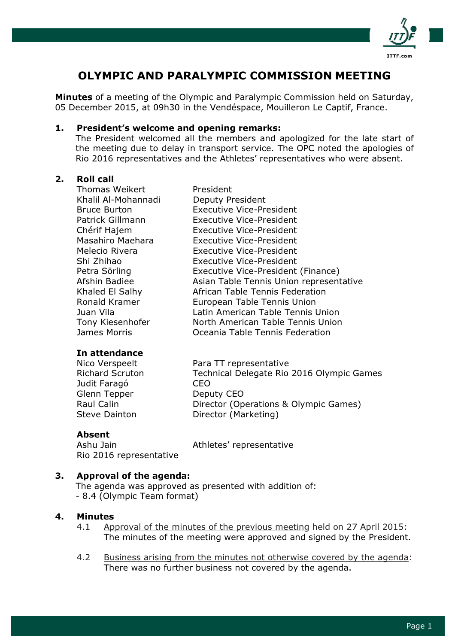

# OLYMPIC AND PARALYMPIC COMMISSION MEETING

**Minutes** of a meeting of the Olympic and Paralympic Commission held on Saturday, 05 December 2015, at 09h30 in the Vendéspace, Mouilleron Le Captif, France.

#### 1. President's welcome and opening remarks:

The President welcomed all the members and apologized for the late start of the meeting due to delay in transport service. The OPC noted the apologies of Rio 2016 representatives and the Athletes' representatives who were absent.

#### 2. Roll call

Thomas Weikert President Khalil Al-Mohannadi Deputy President Bruce Burton Executive Vice-President Patrick Gillmann Executive Vice-President Chérif Hajem Executive Vice-President Masahiro Maehara Executive Vice-President Melecio Rivera Executive Vice-President Shi Zhihao Executive Vice-President Petra Sörling **Executive Vice-President (Finance)** Afshin Badiee Asian Table Tennis Union representative Khaled El Salhy African Table Tennis Federation Ronald Kramer European Table Tennis Union Juan Vila Latin American Table Tennis Union Tony Kiesenhofer North American Table Tennis Union James Morris Oceania Table Tennis Federation

#### In attendance

Nico Verspeelt Para TT representative Richard Scruton Technical Delegate Rio 2016 Olympic Games Judit Faragó CEO Glenn Tepper Deputy CEO Raul Calin **Director (Operations & Olympic Games)** Steve Dainton **Director (Marketing)** 

#### Absent

Rio 2016 representative

Ashu Jain **Athletes'** representative

#### 3. Approval of the agenda:

The agenda was approved as presented with addition of: - 8.4 (Olympic Team format)

#### 4. Minutes

- 4.1 Approval of the minutes of the previous meeting held on 27 April 2015: The minutes of the meeting were approved and signed by the President.
- 4.2 Business arising from the minutes not otherwise covered by the agenda: There was no further business not covered by the agenda.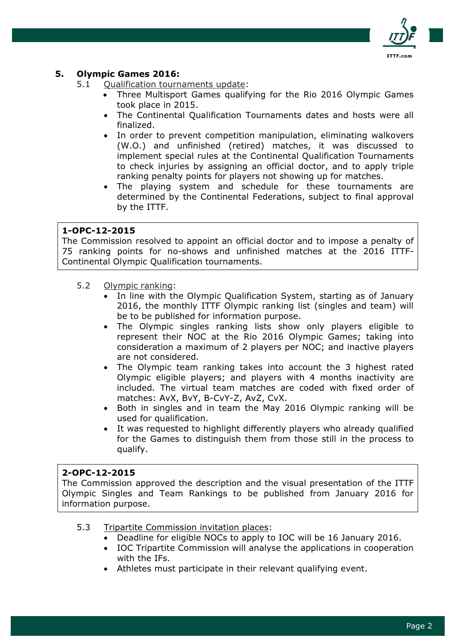

## 5. Olympic Games 2016:

- 5.1 Qualification tournaments update:
	- Three Multisport Games qualifying for the Rio 2016 Olympic Games took place in 2015.
	- The Continental Qualification Tournaments dates and hosts were all finalized.
	- In order to prevent competition manipulation, eliminating walkovers (W.O.) and unfinished (retired) matches, it was discussed to implement special rules at the Continental Qualification Tournaments to check injuries by assigning an official doctor, and to apply triple ranking penalty points for players not showing up for matches.
	- The playing system and schedule for these tournaments are determined by the Continental Federations, subject to final approval by the ITTF.

### 1-OPC-12-2015

The Commission resolved to appoint an official doctor and to impose a penalty of 75 ranking points for no-shows and unfinished matches at the 2016 ITTF-Continental Olympic Qualification tournaments.

- 5.2 Olympic ranking:
	- In line with the Olympic Qualification System, starting as of January 2016, the monthly ITTF Olympic ranking list (singles and team) will be to be published for information purpose.
	- The Olympic singles ranking lists show only players eligible to represent their NOC at the Rio 2016 Olympic Games; taking into consideration a maximum of 2 players per NOC; and inactive players are not considered.
	- The Olympic team ranking takes into account the 3 highest rated Olympic eligible players; and players with 4 months inactivity are included. The virtual team matches are coded with fixed order of matches: AvX, BvY, B-CvY-Z, AvZ, CvX.
	- Both in singles and in team the May 2016 Olympic ranking will be used for qualification.
	- It was requested to highlight differently players who already qualified for the Games to distinguish them from those still in the process to qualify.

#### 2-OPC-12-2015

The Commission approved the description and the visual presentation of the ITTF Olympic Singles and Team Rankings to be published from January 2016 for information purpose.

- 5.3 Tripartite Commission invitation places:
	- Deadline for eligible NOCs to apply to IOC will be 16 January 2016.
	- IOC Tripartite Commission will analyse the applications in cooperation with the IFs.
	- Athletes must participate in their relevant qualifying event.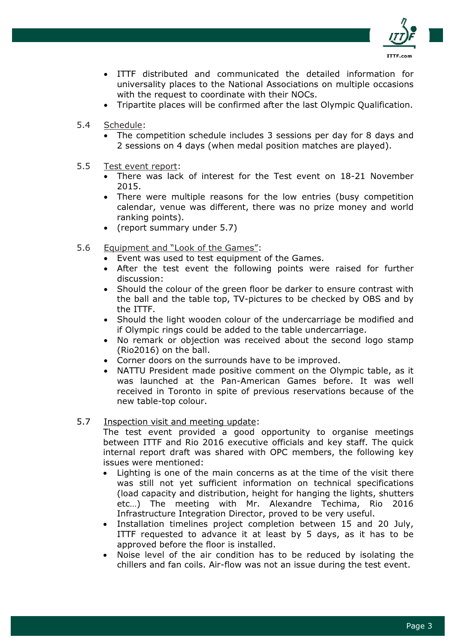

- ITTF distributed and communicated the detailed information for universality places to the National Associations on multiple occasions with the request to coordinate with their NOCs.
- Tripartite places will be confirmed after the last Olympic Qualification.
- 5.4 Schedule:
	- The competition schedule includes 3 sessions per day for 8 days and 2 sessions on 4 days (when medal position matches are played).
- 5.5 Test event report:
	- There was lack of interest for the Test event on 18-21 November 2015.
	- There were multiple reasons for the low entries (busy competition calendar, venue was different, there was no prize money and world ranking points).
	- (report summary under 5.7)
- 5.6 Equipment and "Look of the Games":
	- Event was used to test equipment of the Games.
	- After the test event the following points were raised for further discussion:
	- Should the colour of the green floor be darker to ensure contrast with the ball and the table top, TV-pictures to be checked by OBS and by the ITTF.
	- Should the light wooden colour of the undercarriage be modified and if Olympic rings could be added to the table undercarriage.
	- No remark or objection was received about the second logo stamp (Rio2016) on the ball.
	- Corner doors on the surrounds have to be improved.
	- NATTU President made positive comment on the Olympic table, as it was launched at the Pan-American Games before. It was well received in Toronto in spite of previous reservations because of the new table-top colour.

#### 5.7 Inspection visit and meeting update:

The test event provided a good opportunity to organise meetings between ITTF and Rio 2016 executive officials and key staff. The quick internal report draft was shared with OPC members, the following key issues were mentioned:

- Lighting is one of the main concerns as at the time of the visit there was still not yet sufficient information on technical specifications (load capacity and distribution, height for hanging the lights, shutters etc…) The meeting with Mr. Alexandre Techima, Rio 2016 Infrastructure Integration Director, proved to be very useful.
- Installation timelines project completion between 15 and 20 July, ITTF requested to advance it at least by 5 days, as it has to be approved before the floor is installed.
- Noise level of the air condition has to be reduced by isolating the chillers and fan coils. Air-flow was not an issue during the test event.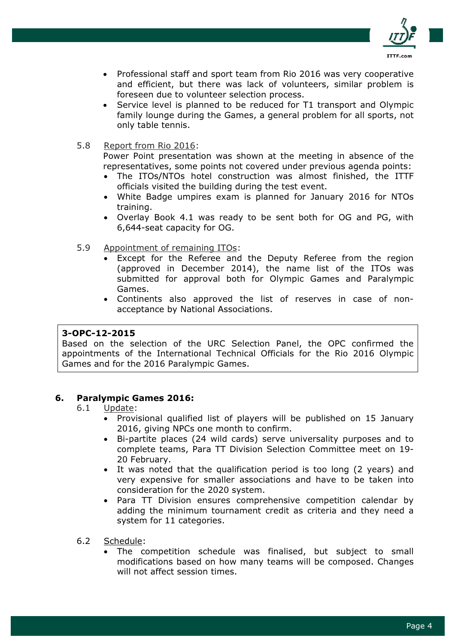

- Professional staff and sport team from Rio 2016 was very cooperative and efficient, but there was lack of volunteers, similar problem is foreseen due to volunteer selection process.
- Service level is planned to be reduced for T1 transport and Olympic family lounge during the Games, a general problem for all sports, not only table tennis.
- 5.8 Report from Rio 2016:

Power Point presentation was shown at the meeting in absence of the representatives, some points not covered under previous agenda points:

- The ITOs/NTOs hotel construction was almost finished, the ITTF officials visited the building during the test event.
- White Badge umpires exam is planned for January 2016 for NTOs training.
- Overlay Book 4.1 was ready to be sent both for OG and PG, with 6,644-seat capacity for OG.
- 5.9 Appointment of remaining ITOs:
	- Except for the Referee and the Deputy Referee from the region (approved in December 2014), the name list of the ITOs was submitted for approval both for Olympic Games and Paralympic Games.
	- Continents also approved the list of reserves in case of nonacceptance by National Associations.

#### 3-OPC-12-2015

Based on the selection of the URC Selection Panel, the OPC confirmed the appointments of the International Technical Officials for the Rio 2016 Olympic Games and for the 2016 Paralympic Games.

## 6. Paralympic Games 2016:

#### 6.1 Update:

- Provisional qualified list of players will be published on 15 January 2016, giving NPCs one month to confirm.
- Bi-partite places (24 wild cards) serve universality purposes and to complete teams, Para TT Division Selection Committee meet on 19- 20 February.
- It was noted that the qualification period is too long (2 years) and very expensive for smaller associations and have to be taken into consideration for the 2020 system.
- Para TT Division ensures comprehensive competition calendar by adding the minimum tournament credit as criteria and they need a system for 11 categories.
- 6.2 Schedule:
	- The competition schedule was finalised, but subject to small modifications based on how many teams will be composed. Changes will not affect session times.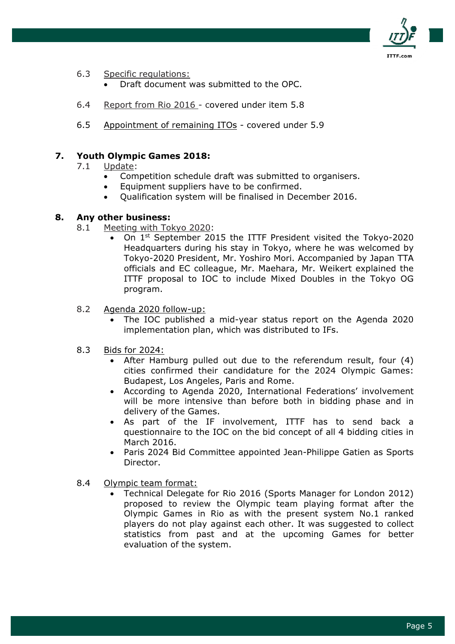

- 6.3 Specific regulations:
	- Draft document was submitted to the OPC.
- 6.4 Report from Rio 2016 covered under item 5.8
- 6.5 Appointment of remaining ITOs covered under 5.9

## 7. Youth Olympic Games 2018:

- 7.1 Update:
	- Competition schedule draft was submitted to organisers.
	- Equipment suppliers have to be confirmed.
	- Qualification system will be finalised in December 2016.

#### 8. Any other business:

- 8.1 Meeting with Tokyo 2020:
	- On  $1<sup>st</sup>$  September 2015 the ITTF President visited the Tokyo-2020 Headquarters during his stay in Tokyo, where he was welcomed by Tokyo-2020 President, Mr. Yoshiro Mori. Accompanied by Japan TTA officials and EC colleague, Mr. Maehara, Mr. Weikert explained the ITTF proposal to IOC to include Mixed Doubles in the Tokyo OG program.
- 8.2 Agenda 2020 follow-up:
	- The IOC published a mid-year status report on the Agenda 2020 implementation plan, which was distributed to IFs.
- 8.3 Bids for 2024:
	- After Hamburg pulled out due to the referendum result, four (4) cities confirmed their candidature for the 2024 Olympic Games: Budapest, Los Angeles, Paris and Rome.
	- According to Agenda 2020, International Federations' involvement will be more intensive than before both in bidding phase and in delivery of the Games.
	- As part of the IF involvement, ITTF has to send back a questionnaire to the IOC on the bid concept of all 4 bidding cities in March 2016.
	- Paris 2024 Bid Committee appointed Jean-Philippe Gatien as Sports Director.
- 8.4 Olympic team format:
	- Technical Delegate for Rio 2016 (Sports Manager for London 2012) proposed to review the Olympic team playing format after the Olympic Games in Rio as with the present system No.1 ranked players do not play against each other. It was suggested to collect statistics from past and at the upcoming Games for better evaluation of the system.